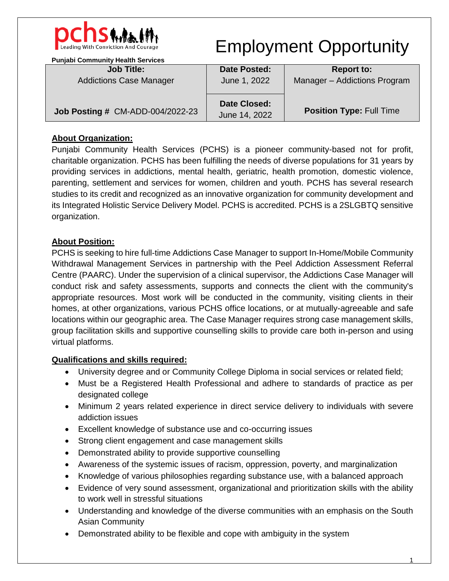

## Employment Opportunity

| <b>Punjabi Community Health Services</b> |                                      |                                 |
|------------------------------------------|--------------------------------------|---------------------------------|
| <b>Job Title:</b>                        | <b>Date Posted:</b>                  | <b>Report to:</b>               |
| <b>Addictions Case Manager</b>           | June 1, 2022                         | Manager - Addictions Program    |
| Job Posting # CM-ADD-004/2022-23         | <b>Date Closed:</b><br>June 14, 2022 | <b>Position Type: Full Time</b> |

## **About Organization:**

Punjabi Community Health Services (PCHS) is a pioneer community-based not for profit, charitable organization. PCHS has been fulfilling the needs of diverse populations for 31 years by providing services in addictions, mental health, geriatric, health promotion, domestic violence, parenting, settlement and services for women, children and youth. PCHS has several research studies to its credit and recognized as an innovative organization for community development and its Integrated Holistic Service Delivery Model. PCHS is accredited. PCHS is a 2SLGBTQ sensitive organization.

## **About Position:**

PCHS is seeking to hire full-time Addictions Case Manager to support In-Home/Mobile Community Withdrawal Management Services in partnership with the Peel Addiction Assessment Referral Centre (PAARC). Under the supervision of a clinical supervisor, the Addictions Case Manager will conduct risk and safety assessments, supports and connects the client with the community's appropriate resources. Most work will be conducted in the community, visiting clients in their homes, at other organizations, various PCHS office locations, or at mutually-agreeable and safe locations within our geographic area. The Case Manager requires strong case management skills, group facilitation skills and supportive counselling skills to provide care both in-person and using virtual platforms.

## **Qualifications and skills required:**

- University degree and or Community College Diploma in social services or related field;
- Must be a Registered Health Professional and adhere to standards of practice as per designated college
- Minimum 2 years related experience in direct service delivery to individuals with severe addiction issues
- Excellent knowledge of substance use and co-occurring issues
- Strong client engagement and case management skills
- Demonstrated ability to provide supportive counselling
- Awareness of the systemic issues of racism, oppression, poverty, and marginalization
- Knowledge of various philosophies regarding substance use, with a balanced approach
- Evidence of very sound assessment, organizational and prioritization skills with the ability to work well in stressful situations
- Understanding and knowledge of the diverse communities with an emphasis on the South Asian Community
- Demonstrated ability to be flexible and cope with ambiguity in the system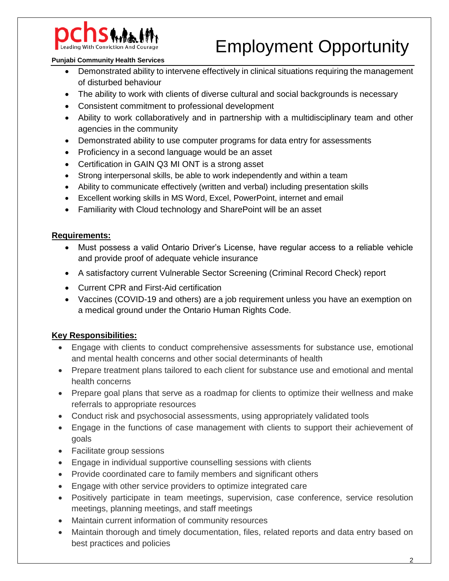

# Employment Opportunity

#### **Punjabi Community Health Services**

- Demonstrated ability to intervene effectively in clinical situations requiring the management of disturbed behaviour
- The ability to work with clients of diverse cultural and social backgrounds is necessary
- Consistent commitment to professional development
- Ability to work collaboratively and in partnership with a multidisciplinary team and other agencies in the community
- Demonstrated ability to use computer programs for data entry for assessments
- Proficiency in a second language would be an asset
- Certification in GAIN Q3 MI ONT is a strong asset
- Strong interpersonal skills, be able to work independently and within a team
- Ability to communicate effectively (written and verbal) including presentation skills
- Excellent working skills in MS Word, Excel, PowerPoint, internet and email
- Familiarity with Cloud technology and SharePoint will be an asset

### **Requirements:**

- Must possess a valid Ontario Driver's License, have regular access to a reliable vehicle and provide proof of adequate vehicle insurance
- A satisfactory current Vulnerable Sector Screening (Criminal Record Check) report
- Current CPR and First-Aid certification
- Vaccines (COVID-19 and others) are a job requirement unless you have an exemption on a medical ground under the Ontario Human Rights Code.

### **Key Responsibilities:**

- Engage with clients to conduct comprehensive assessments for substance use, emotional and mental health concerns and other social determinants of health
- Prepare treatment plans tailored to each client for substance use and emotional and mental health concerns
- Prepare goal plans that serve as a roadmap for clients to optimize their wellness and make referrals to appropriate resources
- Conduct risk and psychosocial assessments, using appropriately validated tools
- Engage in the functions of case management with clients to support their achievement of goals
- Facilitate group sessions
- Engage in individual supportive counselling sessions with clients
- Provide coordinated care to family members and significant others
- Engage with other service providers to optimize integrated care
- Positively participate in team meetings, supervision, case conference, service resolution meetings, planning meetings, and staff meetings
- Maintain current information of community resources
- Maintain thorough and timely documentation, files, related reports and data entry based on best practices and policies